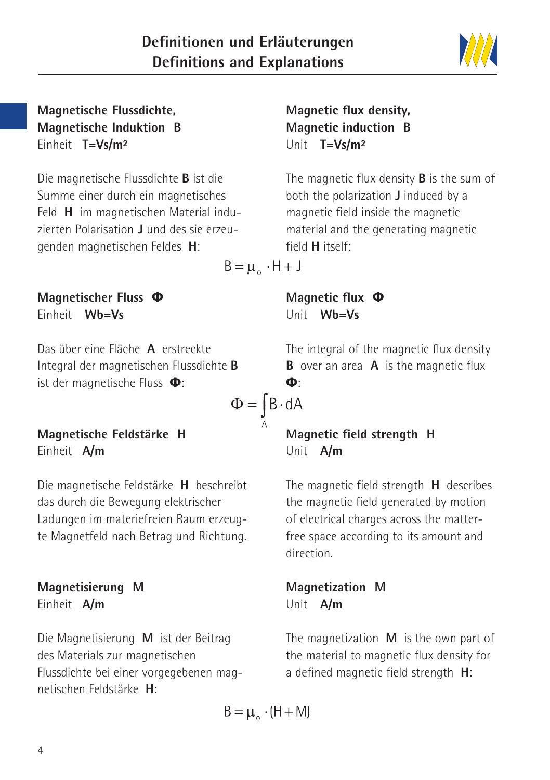4

#### **Magnetische Flussdichte, Magnetische Induktion B** Einheit **T=Vs/m²**

Die magnetische Flussdichte **B** ist die Summe einer durch ein magnetisches Feld **H** im magnetischen Material induzierten Polarisation **J** und des sie erzeugenden magnetischen Feldes **H**:

**Magnetischer Fluss Φ** Einheit **Wb=Vs**

Das über eine Fläche **A** erstreckte Integral der magnetischen Flussdichte **B** ist der magnetische Fluss **Φ**:

#### **Magnetische Feldstärke H** Einheit **A/m**

Die magnetische Feldstärke **H** beschreibt das durch die Bewegung elektrischer Ladungen im materiefreien Raum erzeugte Magnetfeld nach Betrag und Richtung.

#### **Magnetisierung M** Einheit **A/m**

Die Magnetisierung **M** ist der Beitrag des Materials zur magnetischen Flussdichte bei einer vorgegebenen magnetischen Feldstärke **H**:

# **Magnetic flux density, Magnetic induction B** Unit **T=Vs/m²**

The magnetic flux density **B** is the sum of both the polarization **J** induced by a magnetic field inside the magnetic material and the generating magnetic field **H** itself:

 $B = \mu_{0} \cdot H + J$ 

**Magnetic flux Φ** Unit **Wb=Vs**

The integral of the magnetic flux density **B** over an area **A** is the magnetic flux **Φ**:

 $\Phi = \int B \cdot dA$ 

# **Magnetic field strength H** Unit **A/m**

The magnetic field strength **H** describes the magnetic field generated by motion of electrical charges across the matterfree space according to its amount and direction.

**Magnetization M** Unit **A/m**

The magnetization **M** is the own part of the material to magnetic flux density for a defined magnetic field strength **H**:

$$
B = \mu_{\circ} \cdot (H + M)
$$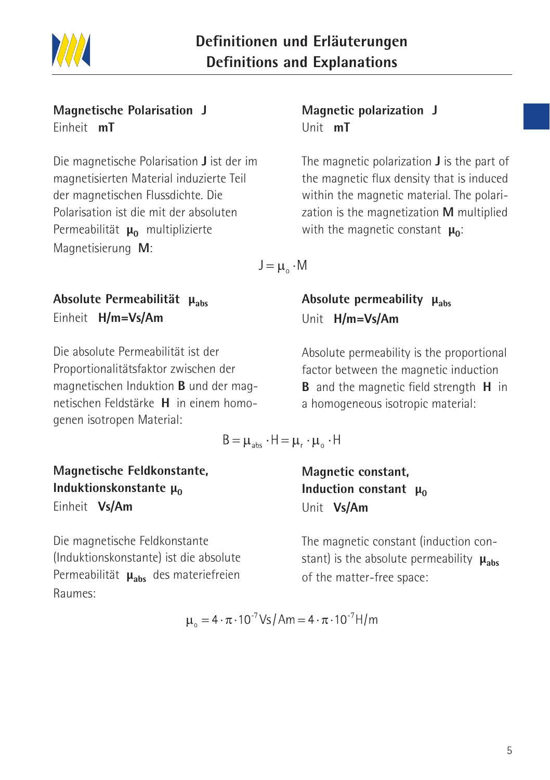

#### **Magnetische Polarisation J** Einheit **mT**

Die magnetische Polarisation **J** ist der im magnetisierten Material induzierte Teil der magnetischen Flussdichte. Die Polarisation ist die mit der absoluten Permeabilität **μ**<sup>0</sup> multiplizierte Magnetisierung **M**:

# **Absolute Permeabilität μabs** Einheit **H/m=Vs/Am**

Die absolute Permeabilität ist der Proportionalitätsfaktor zwischen der magnetischen Induktion **B** und der magnetischen Feldstärke **H** in einem homogenen isotropen Material:

#### **Magnetic polarization J** Unit **mT**

The magnetic polarization **J** is the part of the magnetic flux density that is induced within the magnetic material. The polarization is the magnetization **M** multiplied with the magnetic constant **μ**<sub>0</sub>:

 $J = \mu$   $\cdot$  M

# **Absolute permeability μ<sub>abs</sub>** Unit **H/m=Vs/Am**

Absolute permeability is the proportional factor between the magnetic induction **B** and the magnetic field strength **H** in a homogeneous isotropic material:

$$
B = \mu_{\text{abs}} \cdot H = \mu_{r} \cdot \mu_{o} \cdot H
$$

**Magnetic constant, Induction constant μ<sub>0</sub>** Unit **Vs/Am**

The magnetic constant (induction constant) is the absolute permeability **μabs** of the matter-free space:

**Magnetische Feldkonstante, Induktionskonstante μ<sub>0</sub>** Einheit **Vs/Am**

Die magnetische Feldkonstante (Induktionskonstante) ist die absolute Permeabilität **μ<sub>abs</sub>** des materiefreien Raumes:

$$
\mu_{o} = 4 \cdot \pi \cdot 10^{-7} \text{Vs/Am} = 4 \cdot \pi \cdot 10^{-7} \text{H/m}
$$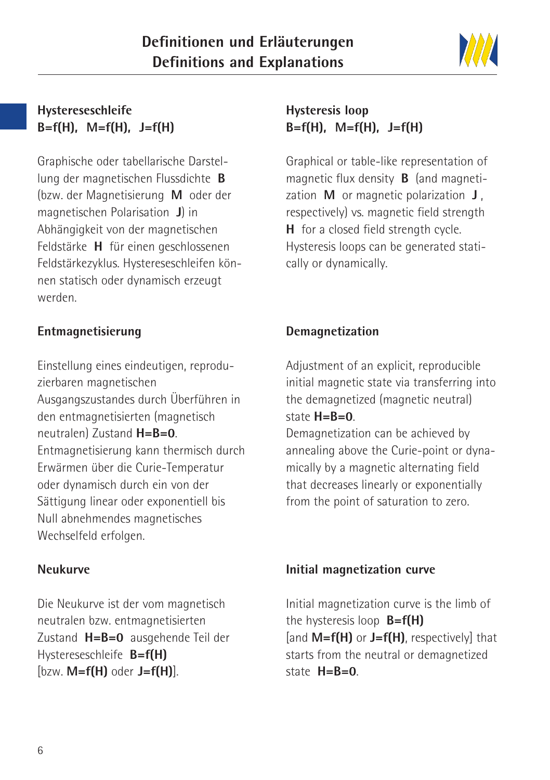

#### **Hystereseschleife B=f(H), M=f(H), J=f(H)**

Graphische oder tabellarische Darstellung der magnetischen Flussdichte **B** (bzw. der Magnetisierung **M** oder der magnetischen Polarisation **J**) in Abhängigkeit von der magnetischen Feldstärke **H** für einen geschlossenen Feldstärkezyklus. Hystereseschleifen können statisch oder dynamisch erzeugt werden.

#### **Entmagnetisierung**

Einstellung eines eindeutigen, reproduzierbaren magnetischen Ausgangszustandes durch Überführen in den entmagnetisierten (magnetisch neutralen) Zustand **H=B=0**. Entmagnetisierung kann thermisch durch Erwärmen über die Curie-Temperatur oder dynamisch durch ein von der Sättigung linear oder exponentiell bis Null abnehmendes magnetisches Wechselfeld erfolgen.

#### **Neukurve**

Die Neukurve ist der vom magnetisch neutralen bzw. entmagnetisierten Zustand **H=B=0** ausgehende Teil der Hystereseschleife **B=f(H)** [bzw. **M=f(H)** oder **J=f(H)**].

# **Hysteresis loop B=f(H), M=f(H), J=f(H)**

Graphical or table-like representation of magnetic flux density **B** (and magnetization **M** or magnetic polarization **J** , respectively) vs. magnetic field strength **H** for a closed field strength cycle. Hysteresis loops can be generated statically or dynamically.

# **Demagnetization**

Adjustment of an explicit, reproducible initial magnetic state via transferring into the demagnetized (magnetic neutral) state **H=B=0**.

Demagnetization can be achieved by annealing above the Curie-point or dynamically by a magnetic alternating field that decreases linearly or exponentially from the point of saturation to zero.

#### **Initial magnetization curve**

Initial magnetization curve is the limb of the hysteresis loop **B=f(H)** [and **M=f(H)** or **J=f(H)**, respectively] that starts from the neutral or demagnetized state **H=B=0**.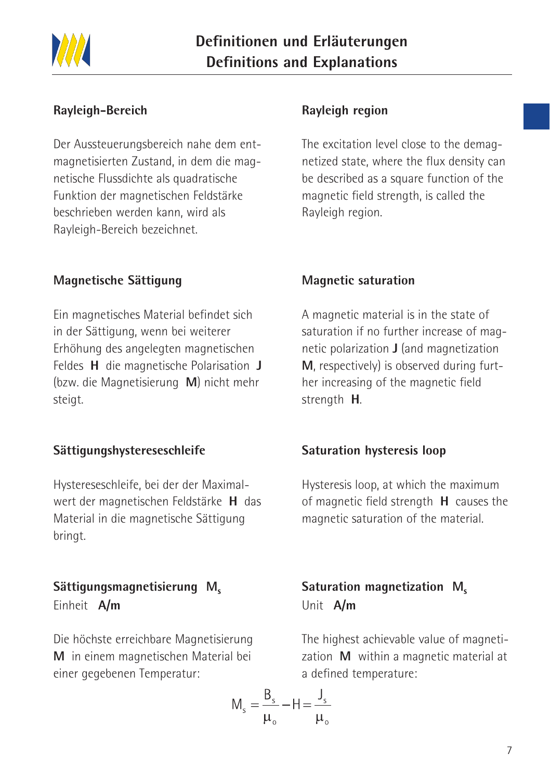

#### **Rayleigh-Bereich**

Der Aussteuerungsbereich nahe dem entmagnetisierten Zustand, in dem die magnetische Flussdichte als quadratische Funktion der magnetischen Feldstärke beschrieben werden kann, wird als Rayleigh-Bereich bezeichnet.

#### **Magnetische Sättigung**

Ein magnetisches Material befindet sich in der Sättigung, wenn bei weiterer Erhöhung des angelegten magnetischen Feldes **H** die magnetische Polarisation **J** (bzw. die Magnetisierung **M**) nicht mehr steigt.

#### **Sättigungshystereseschleife**

Hystereseschleife, bei der der Maximalwert der magnetischen Feldstärke **H** das Material in die magnetische Sättigung bringt.

#### Sättigungsmagnetisierung M<sub>s</sub> Einheit **A/m**

Die höchste erreichbare Magnetisierung **M** in einem magnetischen Material bei einer gegebenen Temperatur:

# $M_s = \frac{B_s}{\mu_s} - H = \frac{J_s}{\mu_s}$

#### **Rayleigh region**

The excitation level close to the demagnetized state, where the flux density can be described as a square function of the magnetic field strength, is called the Rayleigh region.

#### **Magnetic saturation**

A magnetic material is in the state of saturation if no further increase of magnetic polarization **J** (and magnetization **M**, respectively) is observed during further increasing of the magnetic field strength **H**.

#### **Saturation hysteresis loop**

Hysteresis loop, at which the maximum of magnetic field strength **H** causes the magnetic saturation of the material.

# Saturation magnetization M<sub>s</sub> Unit **A/m**

The highest achievable value of magnetization **M** within a magnetic material at a defined temperature: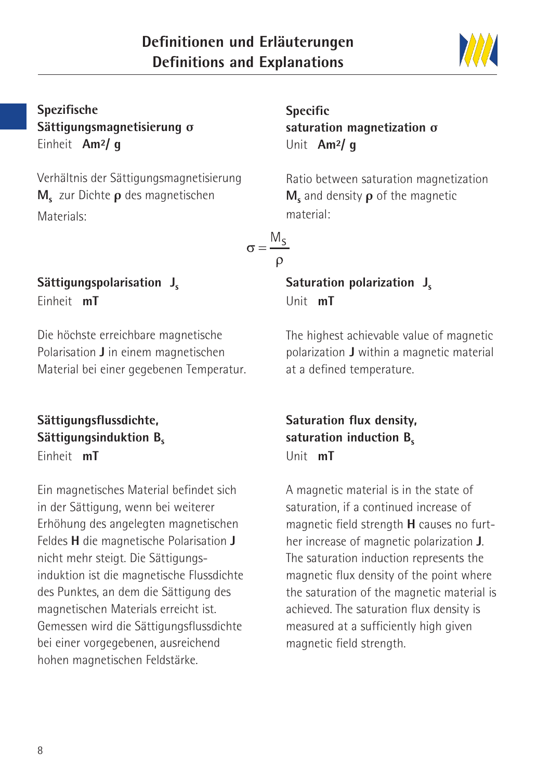

# **Spezifische Sättigungsmagnetisierung σ** Einheit **Am²/ g**

Verhältnis der Sättigungsmagnetisierung **Ms** zur Dichte **ρ** des magnetischen Materials:

#### Sättigungspolarisation J<sub>s</sub> Einheit **mT**

Die höchste erreichbare magnetische Polarisation **J** in einem magnetischen Material bei einer gegebenen Temperatur.

#### **Sättigungsflussdichte, Sättigungsinduktion B.** Einheit **mT**

Ein magnetisches Material befindet sich in der Sättigung, wenn bei weiterer Erhöhung des angelegten magnetischen Feldes **H** die magnetische Polarisation **J** nicht mehr steigt. Die Sättigungsinduktion ist die magnetische Flussdichte des Punktes, an dem die Sättigung des magnetischen Materials erreicht ist. Gemessen wird die Sättigungsflussdichte bei einer vorgegebenen, ausreichend hohen magnetischen Feldstärke.

**Specific saturation magnetization σ** Unit **Am²/ g**

Ratio between saturation magnetization **M**<sub>s</sub> and density **ρ** of the magnetic material:

$$
\sigma = \frac{M_S}{\rho}
$$

# **Saturation polarization J.** Unit **mT**

The highest achievable value of magnetic polarization **J** within a magnetic material at a defined temperature.

# **Saturation flux density,** saturation induction **B**<sub>c</sub> Unit **mT**

A magnetic material is in the state of saturation, if a continued increase of magnetic field strength **H** causes no further increase of magnetic polarization **J**. The saturation induction represents the magnetic flux density of the point where the saturation of the magnetic material is achieved. The saturation flux density is measured at a sufficiently high given magnetic field strength.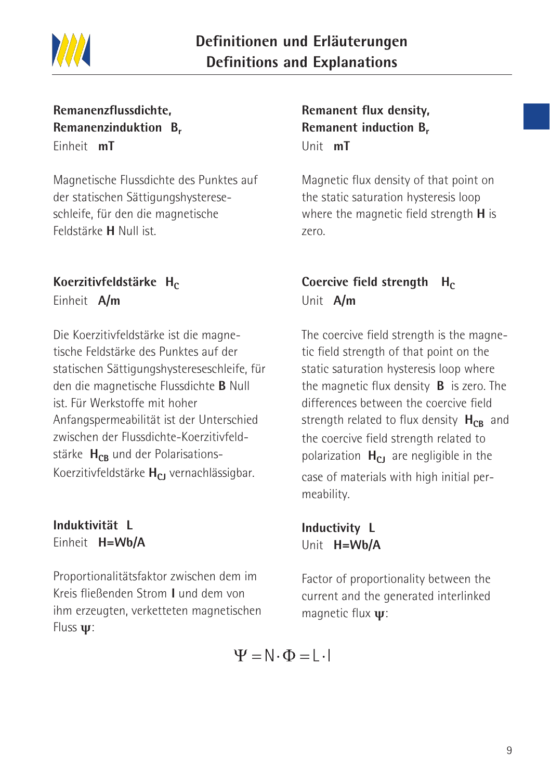

#### **Remanenzflussdichte, Remanenzinduktion Br** Einheit **mT**

Magnetische Flussdichte des Punktes auf der statischen Sättigungshystereseschleife, für den die magnetische Feldstärke **H** Null ist.

#### Koerzitivfeldstärke H<sub>c</sub> Einheit **A/m**

Die Koerzitivfeldstärke ist die magnetische Feldstärke des Punktes auf der statischen Sättigungshystereseschleife, für den die magnetische Flussdichte **B** Null ist. Für Werkstoffe mit hoher Anfangspermeabilität ist der Unterschied zwischen der Flussdichte-Koerzitivfeldstärke H<sub>CB</sub> und der Polarisations-Koerzitivfeldstärke H<sub>CI</sub> vernachlässigbar.

#### **Induktivität L** Einheit **H=Wb/A**

Proportionalitätsfaktor zwischen dem im Kreis fließenden Strom **I** und dem von ihm erzeugten, verketteten magnetischen Fluss **ψ**:

**Remanent flux density, Remanent induction B.** Unit **mT**

Magnetic flux density of that point on the static saturation hysteresis loop where the magnetic field strength **H** is zero.

# **Coercive field strength Hc** Unit **A/m**

The coercive field strength is the magnetic field strength of that point on the static saturation hysteresis loop where the magnetic flux density **B** is zero. The differences between the coercive field strength related to flux density H<sub>CB</sub> and the coercive field strength related to polarization **H<sub>CJ</sub>** are negligible in the case of materials with high initial permeability.

**Inductivity L** Unit **H=Wb/A**

Factor of proportionality between the current and the generated interlinked magnetic flux **ψ**:

$$
\Psi = \mathbb{N} \cdot \Phi = \mathbb{L} \cdot \mathbb{I}
$$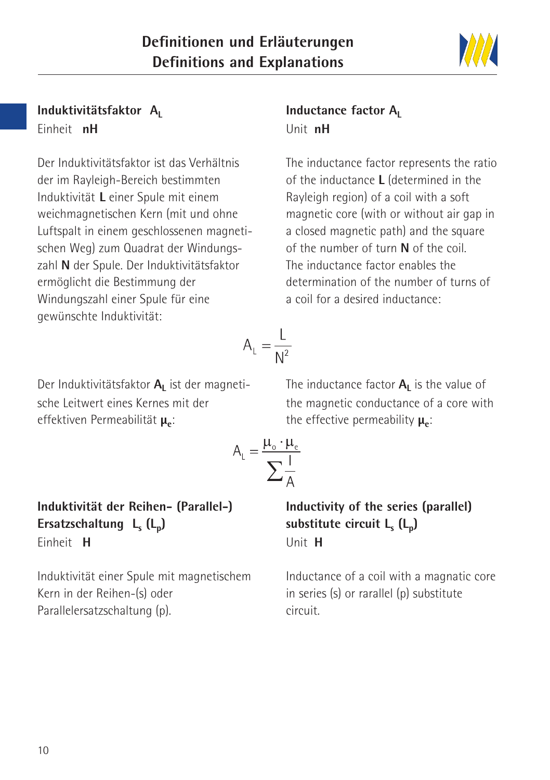#### **Induktivitätsfaktor A** Einheit **nH**

Der Induktivitätsfaktor ist das Verhältnis der im Rayleigh-Bereich bestimmten Induktivität **L** einer Spule mit einem weichmagnetischen Kern (mit und ohne Luftspalt in einem geschlossenen magnetischen Weg) zum Quadrat der Windungszahl **N** der Spule. Der Induktivitätsfaktor ermöglicht die Bestimmung der Windungszahl einer Spule für eine gewünschte Induktivität:

# **Inductance factor A**<sub>L</sub> Unit **nH**

The inductance factor represents the ratio of the inductance **L** (determined in the Rayleigh region) of a coil with a soft magnetic core (with or without air gap in a closed magnetic path) and the square of the number of turn **N** of the coil. The inductance factor enables the determination of the number of turns of a coil for a desired inductance:

Der Induktivitätsfaktor A<sub>1</sub> ist der magnetische Leitwert eines Kernes mit der effektiven Permeabilität **μ**<sub>2</sub>:

The inductance factor  $A<sub>L</sub>$  is the value of the magnetic conductance of a core with the effective permeability **μ**<sub>ε</sub>:

#### **Induktivität der Reihen- (Parallel-)** Ersatzschaltung L<sub>s</sub> (L<sub>p</sub>) Einheit **H**

Induktivität einer Spule mit magnetischem Kern in der Reihen-(s) oder Parallelersatzschaltung (p).

**Inductivity of the series (parallel)** substitute circuit L<sub>s</sub> (L<sub>n</sub>) Unit **H**

Inductance of a coil with a magnatic core in series (s) or rarallel (p) substitute circuit.

$$
A_{L} = \frac{L}{N^2}
$$

 $A_{L} = \frac{\mu_{o} \cdot \mu_{e}}{\sum \frac{l}{\lambda_{o}}}$ 

$$
\mathcal{W}\mathcal{U}
$$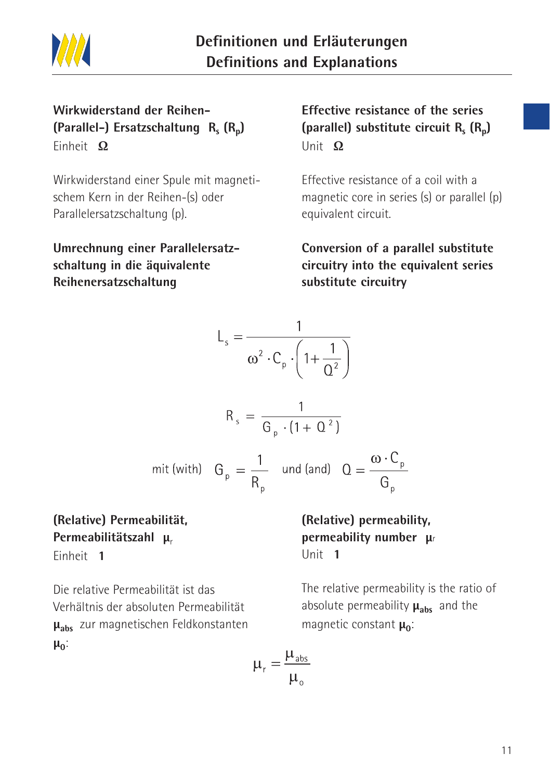

# **Wirkwiderstand der Reihen- (Parallel-) Ersatzschaltung R<sub>s</sub>**  $(R_n)$ Einheit **Ω**

Wirkwiderstand einer Spule mit magnetischem Kern in der Reihen-(s) oder Parallelersatzschaltung (p).

**Umrechnung einer Parallelersatzschaltung in die äquivalente Reihenersatzschaltung**

# **Effective resistance of the series (parallel) substitute circuit R<sub>s</sub> (R<sub>n</sub>)** Unit **Ω**

Effective resistance of a coil with a magnetic core in series (s) or parallel (p) equivalent circuit.

**Conversion of a parallel substitute circuitry into the equivalent series substitute circuitry**

$$
L_s = \frac{1}{\omega^2 \cdot C_p \cdot \left(1 + \frac{1}{\Omega^2}\right)}
$$
  

$$
R_s = \frac{1}{G_p \cdot (1 + \Omega^2)}
$$
  
mit (with) 
$$
G_p = \frac{1}{R_p} \text{ und (and)} Q = \frac{\omega \cdot C_p}{G_p}
$$

# **(Relative) Permeabilität, Permeabilitätszahl** μ<sub>r</sub>

Einheit **1**

Die relative Permeabilität ist das Verhältnis der absoluten Permeabilität **μabs** zur magnetischen Feldkonstanten **μ**<sub>0</sub>:

**(Relative) permeability, permeability number μ**<sup>r</sup> Unit **1**

The relative permeability is the ratio of absolute permeability **μabs** and the magnetic constant **μ**<sub>0</sub>:

$$
\mu_{\rm r} = \frac{\mu_{\text{abs}}}{\mu_{\rm o}}
$$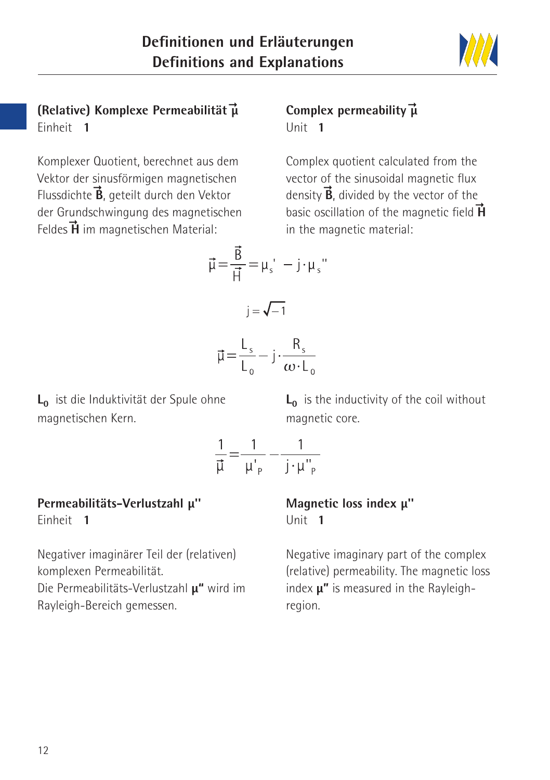

# **(Relative) Komplexe Permeabilität μ** -Einheit **1**

# $\vec{\mu}$  Complex permeability  $\vec{\mu}$ Unit **1**

Komplexer Quotient, berechnet aus dem Vektor der sinusförmigen magnetischen Flussdichte **B**, geteilt durch den Vektor der Grundschwingung des magnetischen Feldes **H** im magnetischen Material: -

# Complex quotient calculated from the vector of the sinusoidal magnetic flux density **B**, divided by the vector of the basic oscillation of the magnetic field **H** in the magnetic material:

$$
\vec{\mu} = \frac{B}{\vec{H}} = \mu_s' - j \cdot \mu_s'
$$

 $i = \sqrt{-1}$ 

$$
\vec{\mu} = \frac{L_s}{L_0} - j \cdot \frac{R_s}{\omega \cdot L_0}
$$

L<sub>0</sub> ist die Induktivität der Spule ohne magnetischen Kern.

L<sub>0</sub> is the inductivity of the coil without magnetic core.

$$
\frac{1}{\vec{\mu}} = \frac{1}{\mu'_{\text{p}}} - \frac{1}{j \cdot \mu''_{\text{p}}}
$$

# **Permeabilitäts-Verlustzahl μ''**

Einheit **1**

Negativer imaginärer Teil der (relativen) komplexen Permeabilität. Die Permeabilitäts-Verlustzahl **μ"** wird im Rayleigh-Bereich gemessen.

#### **Magnetic loss index μ''** Unit **1**

Negative imaginary part of the complex (relative) permeability. The magnetic loss index **μ"** is measured in the Rayleighregion.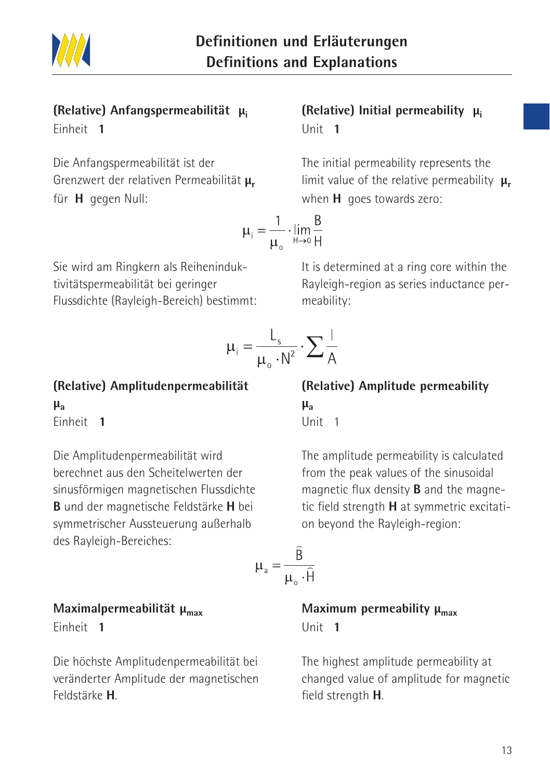

#### **(Relative) Anfangspermeabilität μi** Einheit **1**

# Die Anfangspermeabilität ist der Grenzwert der relativen Permeabilität **μr** für **H** gegen Null:

$$
\mu_i = \frac{1}{\mu_o} \cdot \lim_{H \to 0} \frac{E}{H}
$$

Sie wird am Ringkern als Reiheninduktivitätspermeabilität bei geringer Flussdichte (Rayleigh-Bereich) bestimmt:

$$
\mu_i = \frac{L_s}{\mu_o \cdot N^2} \cdot \sum \frac{1}{A}
$$

**(Relative) Amplitudenpermeabilität μa** Einheit **1**

Die Amplitudenpermeabilität wird berechnet aus den Scheitelwerten der sinusförmigen magnetischen Flussdichte **B** und der magnetische Feldstärke **H** bei symmetrischer Aussteuerung außerhalb des Rayleigh-Bereiches:

$$
\mu_{a} = \frac{B}{\mu_{o} \cdot \hat{F}}
$$

#### **Maximalpermeabilität μmax**

Einheit **1**

Die höchste Amplitudenpermeabilität bei veränderter Amplitude der magnetischen Feldstärke **H**.

# **(Relative) Initial permeability μi** Unit **1**

The initial permeability represents the limit value of the relative permeability  $\mu_r$ when **H** goes towards zero:

 $\frac{B}{1}$ 

It is determined at a ring core within the Rayleigh-region as series inductance permeability:

**(Relative) Amplitude permeability** 

**μa** Unit 1

The amplitude permeability is calculated from the peak values of the sinusoidal magnetic flux density **B** and the magnetic field strength **H** at symmetric excitation beyond the Rayleigh-region:

$$
L_{a} = \frac{\widehat{B}}{\mu_{o} \cdot \widehat{H}}
$$

**Maximum permeability μ<sub>max</sub>** Unit **1**

The highest amplitude permeability at changed value of amplitude for magnetic field strength **H**.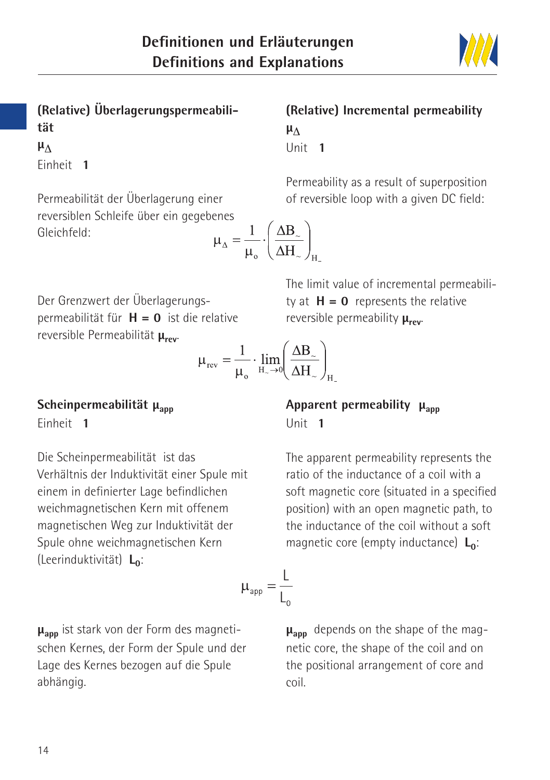

**(Relative) Überlagerungspermeabilität μ**<sub>Δ</sub> Einheit **1**

Permeabilität der Überlagerung einer reversiblen Schleife über ein gegeben Gleichfeld:

$$
\mathbf{u}_{\Delta} = \frac{1}{\mu_{\mathrm{o}}} \cdot \left(\frac{\Delta \mathbf{B}_{\mathrm{o}}}{\Delta \mathbf{H}_{\mathrm{o}}}\right)_{\mathrm{H}}
$$

#### **(Relative) Incremental permeability μ**<sub>Λ</sub> Unit **1**

Permeability as a result of superposition of reversible loop with a given DC field:

The limit value of incremental permeability at  $H = 0$  represents the relative

Der Grenzwert der Überlagerungspermeabilität für **H = 0** ist die relative reversible Permeabilität **μrev**.

$$
\mu_{rev} = \frac{1}{\mu_o} \cdot \lim_{H_{\sim} \to 0} \left( \frac{\Delta B_{\sim}}{\Delta H_{\sim}} \right)_H
$$

Scheinpermeabilität μ<sub>app</sub> Einheit **1**

Die Scheinpermeabilität ist das Verhältnis der Induktivität einer Spule mit einem in definierter Lage befindlichen weichmagnetischen Kern mit offenem magnetischen Weg zur Induktivität der Spule ohne weichmagnetischen Kern (Leerinduktivität) L<sub>o</sub>:

**μapp** ist stark von der Form des magnetischen Kernes, der Form der Spule und der Lage des Kernes bezogen auf die Spule abhängig.

#### **Apparent permeability μ<sub>ann</sub>** Unit **1**

reversible permeability **μrev**.

The apparent permeability represents the ratio of the inductance of a coil with a soft magnetic core (situated in a specified position) with an open magnetic path, to the inductance of the coil without a soft magnetic core (empty inductance) **L**<sub>0</sub>:

$$
\mu_{\rm app} = \frac{L}{L_0}
$$

**μapp** depends on the shape of the magnetic core, the shape of the coil and on the positional arrangement of core and coil.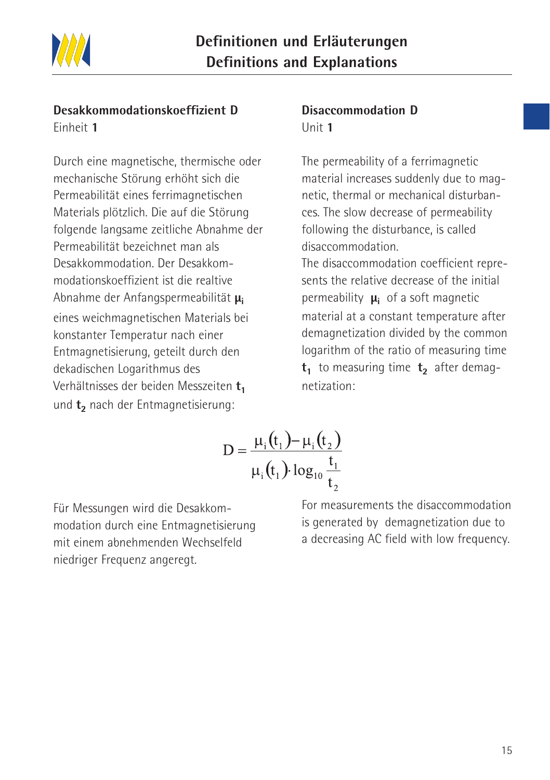

#### **Desakkommodationskoeffizient D** Einheit **1**

Durch eine magnetische, thermische oder mechanische Störung erhöht sich die Permeabilität eines ferrimagnetischen Materials plötzlich. Die auf die Störung folgende langsame zeitliche Abnahme der Permeabilität bezeichnet man als Desakkommodation. Der Desakkommodationskoeffizient ist die realtive Abnahme der Anfangspermeabilität **μi** eines weichmagnetischen Materials bei konstanter Temperatur nach einer Entmagnetisierung, geteilt durch den dekadischen Logarithmus des Verhältnisses der beiden Messzeiten t<sub>1</sub> und t<sub>2</sub> nach der Entmagnetisierung:

#### **Disaccommodation D** Unit **1**

The permeability of a ferrimagnetic material increases suddenly due to magnetic, thermal or mechanical disturbances. The slow decrease of permeability following the disturbance, is called disaccommodation.

The disaccommodation coefficient represents the relative decrease of the initial permeability **μi** of a soft magnetic material at a constant temperature after demagnetization divided by the common logarithm of the ratio of measuring time  $t_1$  to measuring time  $t_2$  after demagnetization:

$$
D = \frac{\mu_i(t_1) - \mu_i(t_2)}{\mu_i(t_1) \log_{10} \frac{t_1}{t_2}}
$$

Für Messungen wird die Desakkommodation durch eine Entmagnetisierung mit einem abnehmenden Wechselfeld niedriger Frequenz angeregt.

For measurements the disaccommodation is generated by demagnetization due to a decreasing AC field with low frequency.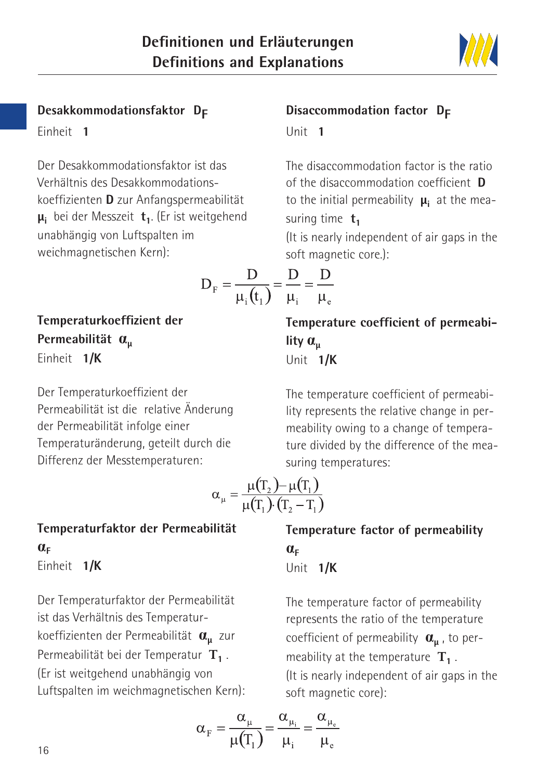

#### **Desakkommodationsfaktor DF**

Einheit **1**

Der Desakkommodationsfaktor ist das Verhältnis des Desakkommodationskoeffizienten **D** zur Anfangspermeabilität **μ**<sub>i</sub> bei der Messzeit **t**<sub>1</sub>. (Er ist weitgehend unabhängig von Luftspalten im weichmagnetischen Kern):

$$
D_{F} = \frac{D}{\mu_{i}(t_{1})} = \frac{D}{\mu_{i}} = \frac{D}{\mu_{e}}
$$

**Temperaturkoeffizient der Permeabilität <sup>μ</sup>** Einheit **1/K**

Der Temperaturkoeffizient der Permeabilität ist die relative Änderung der Permeabilität infolge einer Temperaturänderung, geteilt durch die Differenz der Messtemperaturen:

$$
\alpha_{\mu} = \frac{\mu(T_2) - \mu(T_1)}{\mu(T_1) \cdot (T_2 - T_1)}
$$

**Temperaturfaktor der Permeabilität**   $\alpha_{\text{F}}$ Einheit **1/K**

Der Temperaturfaktor der Permeabilität ist das Verhältnis des Temperaturkoeffizienten der Permeabilität **<sup>μ</sup>** zur Permeabilität bei der Temperatur **T<sup>1</sup>** . (Er ist weitgehend unabhängig von Luftspalten im weichmagnetischen Kern):

$$
\alpha_{\rm F} = \frac{\alpha_{\mu}}{\mu(T_1)} = \frac{\alpha_{\mu_i}}{\mu_i} = \frac{\alpha_{\mu_e}}{\mu_e}
$$

# **Disaccommodation factor D<sub>F</sub>** Unit **1**

The disaccommodation factor is the ratio of the disaccommodation coefficient **D** to the initial permeability **μ**<sub>i</sub> at the measuring time  $t_1$ 

(It is nearly independent of air gaps in the soft magnetic core.):

$$
\overline{f} = \frac{1}{\mu_i} = \frac{1}{\mu_e}
$$
\nTemperature coefficient of permeabi-

**lity <sup>μ</sup>** Unit **1/K**

The temperature coefficient of permeability represents the relative change in permeability owing to a change of temperature divided by the difference of the measuring temperatures:

**Temperature factor of permeability**  
\n
$$
\alpha_{F}
$$
  
\nUnit  $1/K$ 

The temperature factor of permeability represents the ratio of the temperature coefficient of permeability **α**<sub>u</sub>, to permeability at the temperature **T<sup>1</sup>** . (It is nearly independent of air gaps in the soft magnetic core):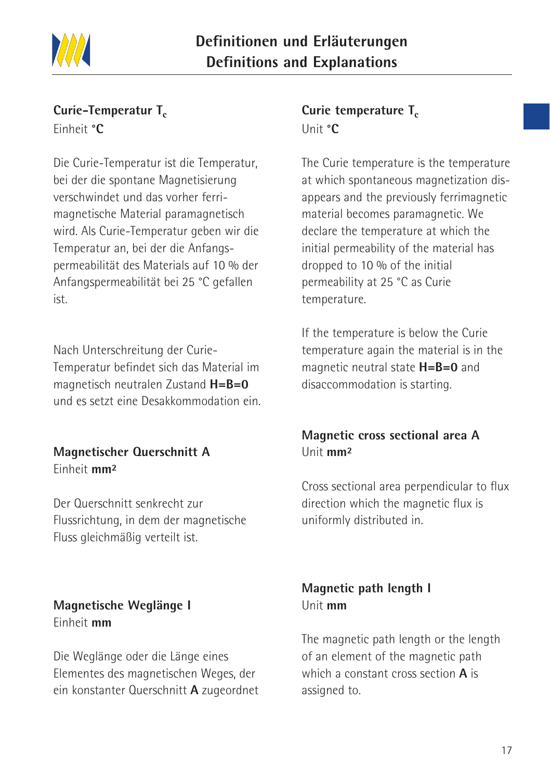

#### **Curie-Temperatur T<sub>c</sub>** Einheit **°C**

Die Curie-Temperatur ist die Temperatur, bei der die spontane Magnetisierung verschwindet und das vorher ferrimagnetische Material paramagnetisch wird. Als Curie-Temperatur geben wir die Temperatur an, bei der die Anfangspermeabilität des Materials auf 10 % der Anfangspermeabilität bei 25 °C gefallen ist.

Nach Unterschreitung der Curie-Temperatur befindet sich das Material im magnetisch neutralen Zustand **H=B=0** und es setzt eine Desakkommodation ein.

#### **Magnetischer Querschnitt A** Einheit **mm²**

Der Querschnitt senkrecht zur Flussrichtung, in dem der magnetische Fluss gleichmäßig verteilt ist.

#### **Magnetische Weglänge I** Einheit **mm**

Die Weglänge oder die Länge eines Elementes des magnetischen Weges, der ein konstanter Querschnitt **A** zugeordnet

#### **Curie temperature T<sub>c</sub>** Unit **°C**

The Curie temperature is the temperature at which spontaneous magnetization disappears and the previously ferrimagnetic material becomes paramagnetic. We declare the temperature at which the initial permeability of the material has dropped to 10 % of the initial permeability at 25 °C as Curie temperature.

If the temperature is below the Curie temperature again the material is in the magnetic neutral state **H=B=0** and disaccommodation is starting.

# **Magnetic cross sectional area A**  Unit **mm²**

Cross sectional area perpendicular to flux direction which the magnetic flux is uniformly distributed in.

# **Magnetic path length I**  Unit **mm**

The magnetic path length or the length of an element of the magnetic path which a constant cross section **A** is assigned to.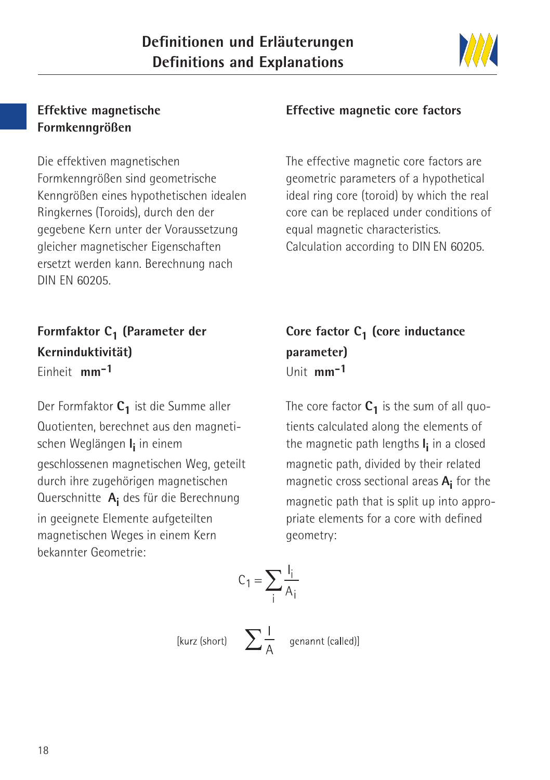

#### **Effektive magnetische Formkenngrößen**

Die effektiven magnetischen Formkenngrößen sind geometrische Kenngrößen eines hypothetischen idealen Ringkernes (Toroids), durch den der gegebene Kern unter der Voraussetzung gleicher magnetischer Eigenschaften ersetzt werden kann. Berechnung nach DIN EN 60205.

**Formfaktor C<sub>1</sub> (Parameter der Kerninduktivität)** Einheit **mm-1**

Der Formfaktor C<sub>1</sub> ist die Summe aller Quotienten, berechnet aus den magnetischen Weglängen **l i** in einem geschlossenen magnetischen Weg, geteilt durch ihre zugehörigen magnetischen Querschnitte **Ai** des für die Berechnung in geeignete Elemente aufgeteilten magnetischen Weges in einem Kern bekannter Geometrie:

#### **Effective magnetic core factors**

The effective magnetic core factors are geometric parameters of a hypothetical ideal ring core (toroid) by which the real core can be replaced under conditions of equal magnetic characteristics. Calculation according to DIN EN 60205.

**Core factor C<sub>1</sub> (core inductance parameter)** Unit **mm-1**

The core factor  $C_1$  is the sum of all quotients calculated along the elements of the magnetic path lengths **l i** in a closed magnetic path, divided by their related magnetic cross sectional areas **Ai** for the magnetic path that is split up into appropriate elements for a core with defined geometry:

$$
C_1 = \sum_i \frac{I_i}{A_i}
$$

[kurz (short)  $\sum \frac{1}{\Lambda}$  genannt (called)]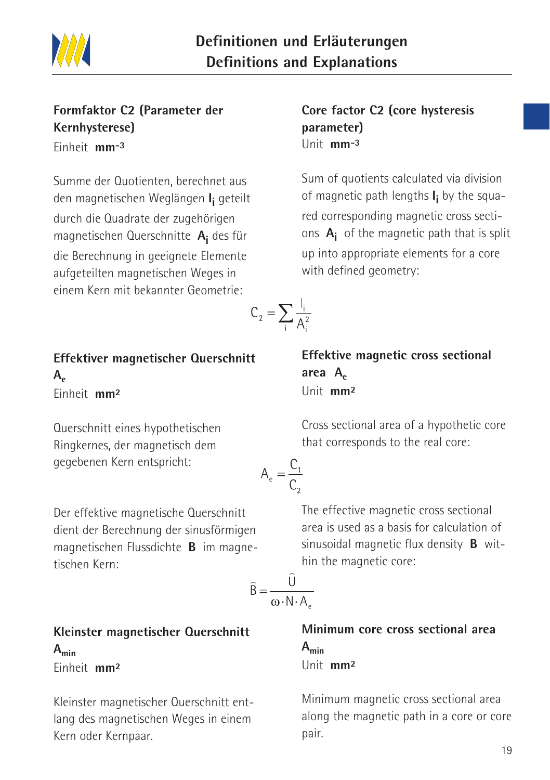

#### **Formfaktor C2 (Parameter der Kernhysterese)** Einheit **mm-3**

Summe der Quotienten, berechnet aus den magnetischen Weglängen **I i** geteilt durch die Quadrate der zugehörigen magnetischen Querschnitte **Ai** des für die Berechnung in geeignete Elemente aufgeteilten magnetischen Weges in einem Kern mit bekannter Geometrie:

# **Effektiver magnetischer Querschnitt**  $A_{\epsilon}$

Einheit **mm²**

Querschnitt eines hypothetischen Ringkernes, der magnetisch dem gegebenen Kern entspricht:

Der effektive magnetische Querschnitt dient der Berechnung der sinusförmigen magnetischen Flussdichte **B** im magnetischen Kern:

**Kleinster magnetischer Querschnitt Amin** Einheit **mm²**

Kleinster magnetischer Querschnitt entlang des magnetischen Weges in einem Kern oder Kernpaar.

#### **Core factor C2 (core hysteresis parameter)** Unit **mm-3**

Sum of quotients calculated via division of magnetic path lengths **I i** by the squared corresponding magnetic cross sections **Ai** of the magnetic path that is split up into appropriate elements for a core with defined geometry:

$$
C_2 = \sum_i \frac{I_i}{A_i^2}
$$

**Effektive magnetic cross sectional**  area A<sub>e</sub> Unit **mm²**

Cross sectional area of a hypothetic core that corresponds to the real core:

$$
A_e = \frac{C_1}{C_2}
$$

The effective magnetic cross sectional area is used as a basis for calculation of sinusoidal magnetic flux density **B** within the magnetic core:

$$
\widehat{\mathsf{B}} = \frac{\widehat{\mathsf{U}}}{\omega \cdot \mathsf{N} \cdot \mathsf{A}_{\mathsf{A}}}
$$

**Minimum core cross sectional area Amin** Unit **mm²**

Minimum magnetic cross sectional area along the magnetic path in a core or core pair.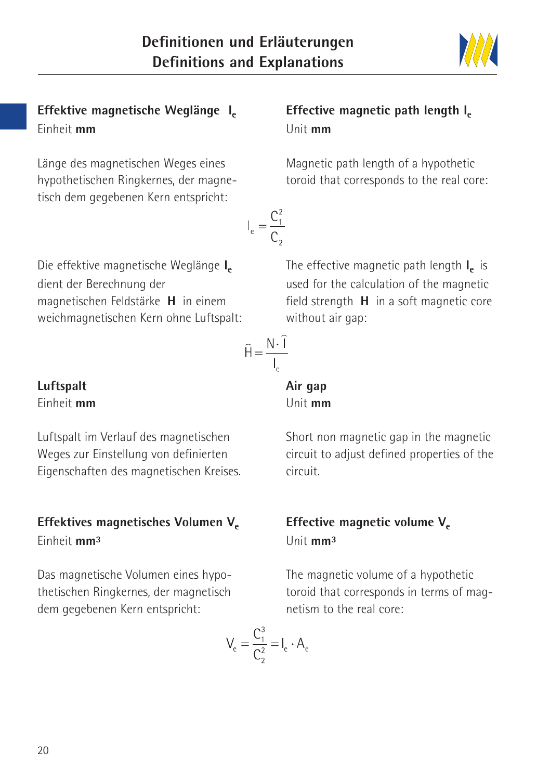

Effektive magnetische Weglänge I<sub>e</sub> Einheit **mm**

Länge des magnetischen Weges eines hypothetischen Ringkernes, der magnetisch dem gegebenen Kern entspricht:

# **Effective magnetic path length let** Unit **mm**

Magnetic path length of a hypothetic toroid that corresponds to the real core:

The effective magnetic path length **l**<sub>c</sub> is used for the calculation of the magnetic field strength **H** in a soft magnetic core

Die effektive magnetische Weglänge I<sub>e</sub> dient der Berechnung der magnetischen Feldstärke **H** in einem weichmagnetischen Kern ohne Luftspalt:

$$
\widehat{H} = \frac{N \cdot \widehat{I}}{I_e}
$$

 $I_e = \frac{C_1^2}{C}$ 

without air gap:

**Air gap** Unit **mm**

**Luftspalt** Einheit **mm**

Luftspalt im Verlauf des magnetischen Weges zur Einstellung von definierten Eigenschaften des magnetischen Kreises.

# Effektives magnetisches Volumen V<sub>e</sub> Einheit **mm³**

Das magnetische Volumen eines hypothetischen Ringkernes, der magnetisch dem gegebenen Kern entspricht:

Short non magnetic gap in the magnetic circuit to adjust defined properties of the circuit.

#### **Effective magnetic volume V<sub>e</sub>** Unit **mm³**

The magnetic volume of a hypothetic toroid that corresponds in terms of magnetism to the real core:

$$
V_e = \frac{C_1^3}{C_2^2} = I_e \cdot A_e
$$

20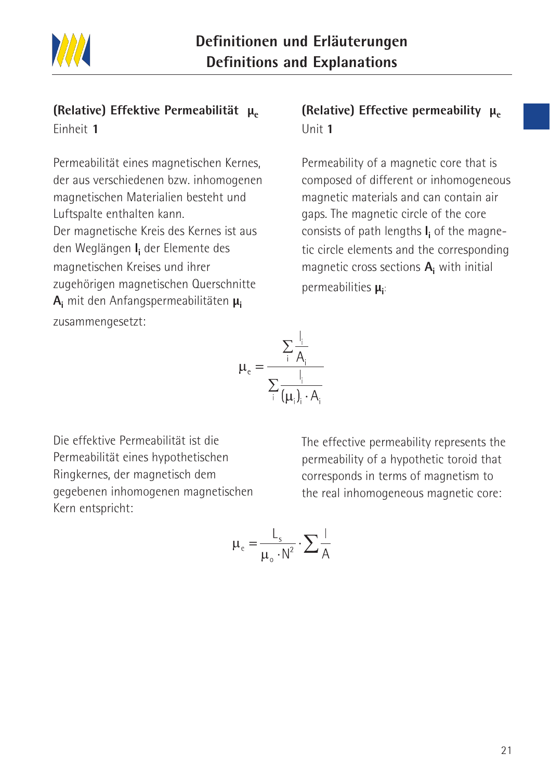

#### **(Relative) Effektive Permeabilität μ.** Einheit **1**

Permeabilität eines magnetischen Kernes, der aus verschiedenen bzw. inhomogenen magnetischen Materialien besteht und Luftspalte enthalten kann. Der magnetische Kreis des Kernes ist aus den Weglängen **li** der Elemente des magnetischen Kreises und ihrer zugehörigen magnetischen Querschnitte **Ai** mit den Anfangspermeabilitäten **μi** zusammengesetzt:

# **(Relative) Effective permeability μ<sub>e</sub>** Unit **1**

Permeability of a magnetic core that is composed of different or inhomogeneous magnetic materials and can contain air gaps. The magnetic circle of the core consists of path lengths **li** of the magnetic circle elements and the corresponding magnetic cross sections **Ai** with initial permeabilities **μ**<sub>i</sub>:

$$
\mu_{e} = \frac{\sum_{i} \frac{I_{i}}{A_{i}}}{\sum_{i} \frac{I_{i}}{(\mu_{i})_{i} \cdot A_{i}}}
$$

Die effektive Permeabilität ist die Permeabilität eines hypothetischen Ringkernes, der magnetisch dem gegebenen inhomogenen magnetischen Kern entspricht:

The effective permeability represents the permeability of a hypothetic toroid that corresponds in terms of magnetism to the real inhomogeneous magnetic core:

$$
\mu_e = \frac{L_s}{\mu_o \cdot N^2} \cdot \sum \frac{1}{A}
$$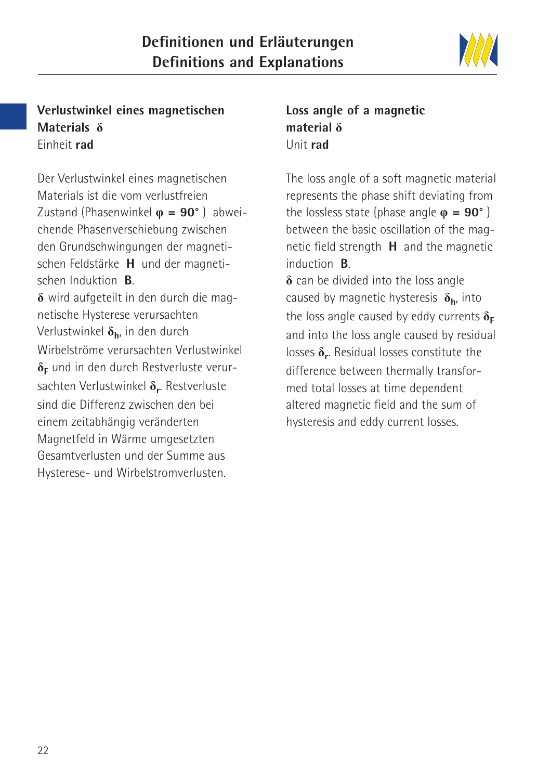

#### **Verlustwinkel eines magnetischen Materials** Einheit **rad**

Der Verlustwinkel eines magnetischen Materials ist die vom verlustfreien Zustand (Phasenwinkel **= 90°** ) abweichende Phasenverschiebung zwischen den Grundschwingungen der magnetischen Feldstärke **H** und der magnetischen Induktion **B**.  $\delta$  wird aufgeteilt in den durch die magnetische Hysterese verursachten Verlustwinkel  $\delta_{\bf h}$  in den durch Wirbelströme verursachten Verlustwinkel  $\delta_F$  und in den durch Restverluste verursachten Verlustwinkel  $\delta_r$ . Restverluste sind die Differenz zwischen den bei einem zeitabhängig veränderten Magnetfeld in Wärme umgesetzten Gesamtverlusten und der Summe aus Hysterese- und Wirbelstromverlusten.

# **Loss angle of a magnetic material** Unit **rad**

The loss angle of a soft magnetic material represents the phase shift deviating from the lossless state (phase angle  $\omega = 90^\circ$ ) between the basic oscillation of the magnetic field strength **H** and the magnetic induction **B**.  $\delta$  can be divided into the loss angle

caused by magnetic hysteresis **h**, into the loss angle caused by eddy currents  $\delta_F$ and into the loss angle caused by residual losses  $\delta_r$ . Residual losses constitute the difference between thermally transformed total losses at time dependent altered magnetic field and the sum of hysteresis and eddy current losses.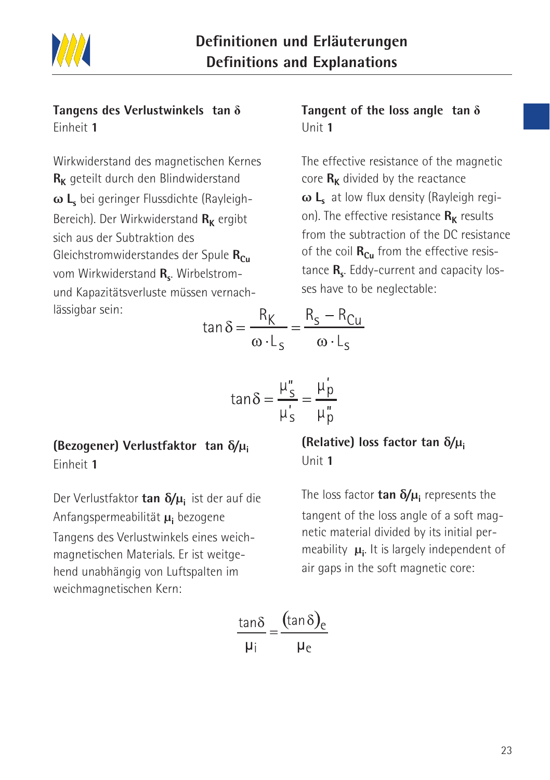

#### **Tangens des Verlustwinkels tan** Einheit **1**

Wirkwiderstand des magnetischen Kernes R<sub>K</sub> geteilt durch den Blindwiderstand **ω Ls** bei geringer Flussdichte (Rayleigh-Bereich). Der Wirkwiderstand R<sub>K</sub> ergibt sich aus der Subtraktion des Gleichstromwiderstandes der Spule R<sub>Cu</sub> vom Wirkwiderstand R<sub>s</sub>. Wirbelstromund Kapazitätsverluste müssen vernachlässigbar sein:

#### **Tangent of the loss angle tan** Unit **1**

The effective resistance of the magnetic core  $R_K$  divided by the reactance **ω L**<sub>s</sub> at low flux density (Rayleigh region). The effective resistance  $\mathbf{R}_{\mathbf{k}}$  results from the subtraction of the DC resistance of the coil  $\mathbf{R}_{\text{Cu}}$  from the effective resistance **R<sub>s</sub>**. Eddy-current and capacity losses have to be neglectable:

$$
\tan \delta = \frac{R_K}{\omega L_S} = \frac{R_S - R_{Cu}}{\omega L_S}
$$

$$
\tan \delta = \frac{\mu_s''}{\mu_s'} = \frac{\mu_p'}{\mu_p''}
$$

# **(Bezogener) Verlustfaktor tan δ/µ<sup>i</sup>**

Einheit **1**

Der Verlustfaktor **tan δ/µ<sup>i</sup>** ist der auf die Anfangspermeabilität **µ<sup>i</sup>** bezogene Tangens des Verlustwinkels eines weichmagnetischen Materials. Er ist weitgehend unabhängig von Luftspalten im

weichmagnetischen Kern:

#### **(Relative) loss factor tan δ/µ<sup>i</sup>** Unit **1**

The loss factor **tan δ/µ<sup>i</sup>** represents the tangent of the loss angle of a soft magnetic material divided by its initial permeability **µ<sup>i</sup>** . It is largely independent of air gaps in the soft magnetic core:

$$
\frac{\tan\delta}{\mu_i} = \frac{(\tan\delta)_e}{\mu_e}
$$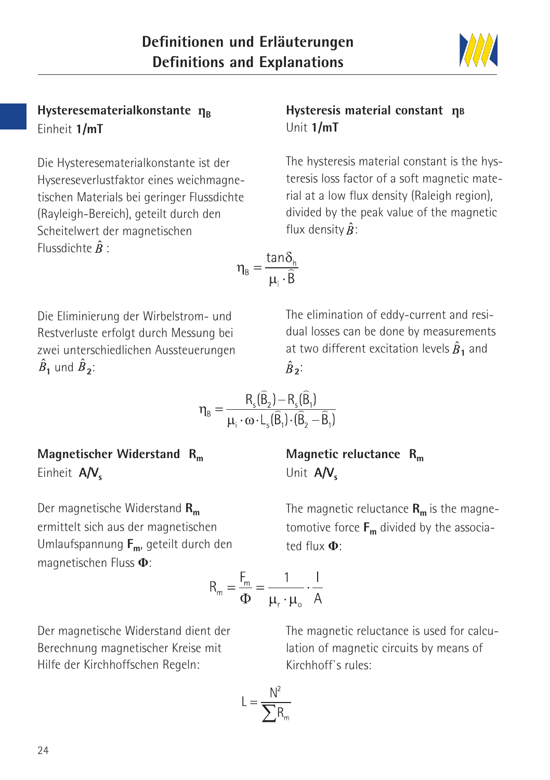

Die Hysteresematerialkonstante ist der Hysereseverlustfaktor eines weichmagnetischen Materials bei geringer Flussdichte (Rayleigh-Bereich), geteilt durch den Scheitelwert der magnetischen Flussdichte  $\hat{B}$  :

#### **Hysteresis material constant η<sup>B</sup>** Unit **1/mT**

The hysteresis material constant is the hysteresis loss factor of a soft magnetic material at a low flux density (Raleigh region), divided by the peak value of the magnetic flux density  $\hat{B}$ :

$$
\eta_{B} = \frac{\tan \delta_{h}}{\mu_{i} \cdot \widehat{B}}
$$

Die Eliminierung der Wirbelstrom- und Restverluste erfolgt durch Messung bei zwei unterschiedlichen Aussteuerungen  $\hat{B}_1$  und  $\hat{B}_2$ :

The elimination of eddy-current and residual losses can be done by measurements at two different excitation levels  $\hat{B}_1$  and  $\hat{B}$ <sup>2</sup>:

$$
\eta_{\text{B}} = \frac{R_{\text{s}}(\widehat{\mathsf{B}}_2) - R_{\text{s}}(\widehat{\mathsf{B}}_1)}{\mu_{\text{i}} \cdot \omega \cdot \mathsf{L}_{\text{s}}(\widehat{\mathsf{B}}_1) \cdot (\widehat{\mathsf{B}}_2 - \widehat{\mathsf{B}}_1)}
$$

**Magnetischer Widerstand Rm** Einheit A/V<sub>s</sub>

Der magnetische Widerstand R<sub>m</sub> ermittelt sich aus der magnetischen Umlaufspannung **Fm**, geteilt durch den magnetischen Fluss :

Der magnetische Widerstand dient der Berechnung magnetischer Kreise mit Hilfe der Kirchhoffschen Regeln:

The magnetic reluctance is used for calculation of magnetic circuits by means of Kirchhoff`s rules:

$$
L = \frac{N^2}{\sum R_m}
$$

 $R_m = \frac{F_m}{\Phi} = \frac{1}{\mu \cdot \mu} \cdot \frac{1}{A}$ 

**Magnetic reluctance Rm** Unit A/V<sub>s</sub>

The magnetic reluctance  $R_m$  is the magnetomotive force  $F_m$  divided by the associated flux :

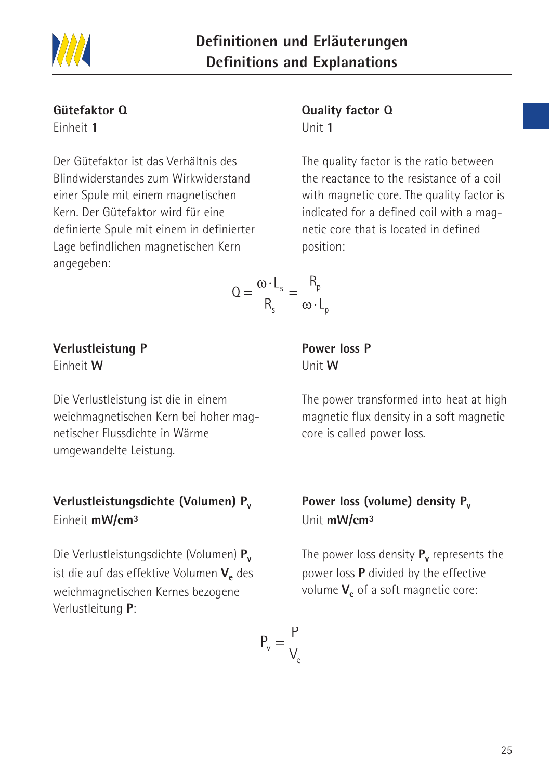

# **Gütefaktor Q**

Einheit **1**

Der Gütefaktor ist das Verhältnis des Blindwiderstandes zum Wirkwiderstand einer Spule mit einem magnetischen Kern. Der Gütefaktor wird für eine definierte Spule mit einem in definierter Lage befindlichen magnetischen Kern angegeben:

#### **Quality factor Q** Unit **1**

The quality factor is the ratio between the reactance to the resistance of a coil with magnetic core. The quality factor is indicated for a defined coil with a magnetic core that is located in defined position:

$$
Q = \frac{\omega \cdot L_s}{R_s} = \frac{R_p}{\omega \cdot L_p}
$$

#### **Verlustleistung P** Einheit **W**

Die Verlustleistung ist die in einem weichmagnetischen Kern bei hoher magnetischer Flussdichte in Wärme umgewandelte Leistung.

# **Verlustleistungsdichte (Volumen) Pv** Einheit **mW/cm³**

Die Verlustleistungsdichte (Volumen) **Pv** ist die auf das effektive Volumen V<sub>e</sub> des weichmagnetischen Kernes bezogene Verlustleitung **P**:

**Power loss P** Unit **W**

The power transformed into heat at high magnetic flux density in a soft magnetic core is called power loss.

# Power loss (volume) density P<sub>v</sub> Unit **mW/cm³**

The power loss density **P<sub>v</sub>** represents the power loss **P** divided by the effective volume  $V_e$  of a soft magnetic core:

$$
P_v = \frac{P}{V_e}
$$